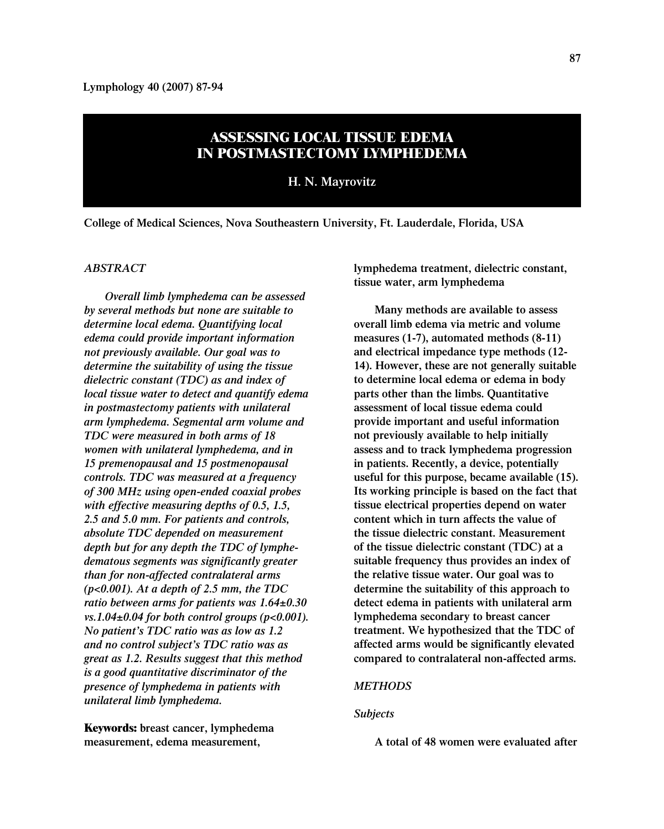# **ASSESSING LOCAL TISSUE EDEMA IN POSTMASTECTOMY LYMPHEDEMA**

**H. N. Mayrovitz**

**College of Medical Sciences, Nova Southeastern University, Ft. Lauderdale, Florida, USA**

#### *ABSTRACT*

*Overall limb lymphedema can be assessed by several methods but none are suitable to determine local edema. Quantifying local edema could provide important information not previously available. Our goal was to determine the suitability of using the tissue dielectric constant (TDC) as and index of local tissue water to detect and quantify edema in postmastectomy patients with unilateral arm lymphedema. Segmental arm volume and TDC were measured in both arms of 18 women with unilateral lymphedema, and in 15 premenopausal and 15 postmenopausal controls. TDC was measured at a frequency of 300 MHz using open-ended coaxial probes with effective measuring depths of 0.5, 1.5, 2.5 and 5.0 mm. For patients and controls, absolute TDC depended on measurement depth but for any depth the TDC of lymphedematous segments was significantly greater than for non-affected contralateral arms (p<0.001). At a depth of 2.5 mm, the TDC ratio between arms for patients was 1.64±0.30 vs.1.04±0.04 for both control groups (p<0.001). No patient's TDC ratio was as low as 1.2 and no control subject's TDC ratio was as great as 1.2. Results suggest that this method is a good quantitative discriminator of the presence of lymphedema in patients with unilateral limb lymphedema.*

**Keywords: breast cancer, lymphedema measurement, edema measurement,**

**lymphedema treatment, dielectric constant, tissue water, arm lymphedema** 

**Many methods are available to assess overall limb edema via metric and volume measures (1-7), automated methods (8-11) and electrical impedance type methods (12- 14). However, these are not generally suitable to determine local edema or edema in body parts other than the limbs. Quantitative assessment of local tissue edema could provide important and useful information not previously available to help initially assess and to track lymphedema progression in patients. Recently, a device, potentially useful for this purpose, became available (15). Its working principle is based on the fact that tissue electrical properties depend on water content which in turn affects the value of the tissue dielectric constant. Measurement of the tissue dielectric constant (TDC) at a suitable frequency thus provides an index of the relative tissue water. Our goal was to determine the suitability of this approach to detect edema in patients with unilateral arm lymphedema secondary to breast cancer treatment. We hypothesized that the TDC of affected arms would be significantly elevated compared to contralateral non-affected arms.**

## *METHODS*

## *Subjects*

**A total of 48 women were evaluated after**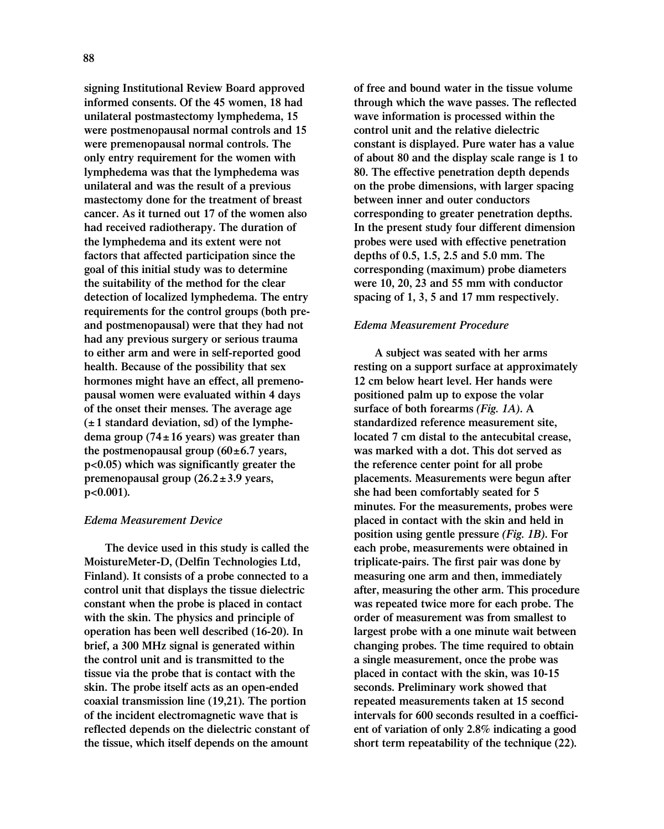**signing Institutional Review Board approved informed consents. Of the 45 women, 18 had unilateral postmastectomy lymphedema, 15 were postmenopausal normal controls and 15 were premenopausal normal controls. The only entry requirement for the women with lymphedema was that the lymphedema was unilateral and was the result of a previous mastectomy done for the treatment of breast cancer. As it turned out 17 of the women also had received radiotherapy. The duration of the lymphedema and its extent were not factors that affected participation since the goal of this initial study was to determine the suitability of the method for the clear detection of localized lymphedema. The entry requirements for the control groups (both preand postmenopausal) were that they had not had any previous surgery or serious trauma to either arm and were in self-reported good health. Because of the possibility that sex hormones might have an effect, all premenopausal women were evaluated within 4 days of the onset their menses. The average age (± 1 standard deviation, sd) of the lymphedema group (74±16 years) was greater than the postmenopausal group (60±6.7 years, p<0.05) which was significantly greater the premenopausal group (26.2±3.9 years, p<0.001).**

# *Edema Measurement Device*

**The device used in this study is called the MoistureMeter-D, (Delfin Technologies Ltd, Finland). It consists of a probe connected to a control unit that displays the tissue dielectric constant when the probe is placed in contact with the skin. The physics and principle of operation has been well described (16-20). In brief, a 300 MHz signal is generated within the control unit and is transmitted to the tissue via the probe that is contact with the skin. The probe itself acts as an open-ended coaxial transmission line (19,21). The portion of the incident electromagnetic wave that is reflected depends on the dielectric constant of the tissue, which itself depends on the amount**

**of free and bound water in the tissue volume through which the wave passes. The reflected wave information is processed within the control unit and the relative dielectric constant is displayed. Pure water has a value of about 80 and the display scale range is 1 to 80. The effective penetration depth depends on the probe dimensions, with larger spacing between inner and outer conductors corresponding to greater penetration depths. In the present study four different dimension probes were used with effective penetration depths of 0.5, 1.5, 2.5 and 5.0 mm. The corresponding (maximum) probe diameters were 10, 20, 23 and 55 mm with conductor spacing of 1, 3, 5 and 17 mm respectively.**

### *Edema Measurement Procedure*

**A subject was seated with her arms resting on a support surface at approximately 12 cm below heart level. Her hands were positioned palm up to expose the volar surface of both forearms** *(Fig. 1A)***. A standardized reference measurement site, located 7 cm distal to the antecubital crease, was marked with a dot. This dot served as the reference center point for all probe placements. Measurements were begun after she had been comfortably seated for 5 minutes. For the measurements, probes were placed in contact with the skin and held in position using gentle pressure** *(Fig. 1B)***. For each probe, measurements were obtained in triplicate-pairs. The first pair was done by measuring one arm and then, immediately after, measuring the other arm. This procedure was repeated twice more for each probe. The order of measurement was from smallest to largest probe with a one minute wait between changing probes. The time required to obtain a single measurement, once the probe was placed in contact with the skin, was 10-15 seconds. Preliminary work showed that repeated measurements taken at 15 second intervals for 600 seconds resulted in a coefficient of variation of only 2.8% indicating a good short term repeatability of the technique (22).**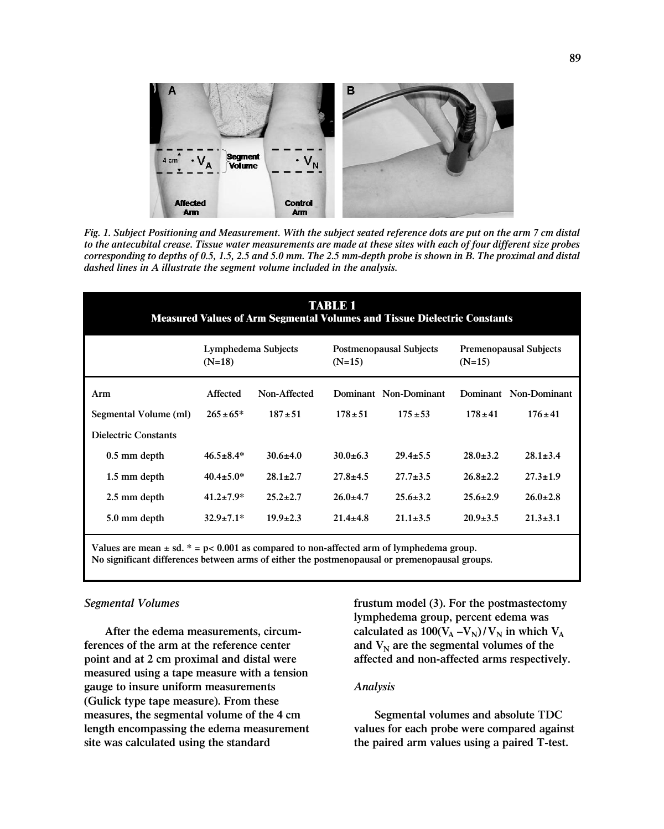

*Fig. 1. Subject Positioning and Measurement. With the subject seated reference dots are put on the arm 7 cm distal to the antecubital crease. Tissue water measurements are made at these sites with each of four different size probes corresponding to depths of 0.5, 1.5, 2.5 and 5.0 mm. The 2.5 mm-depth probe is shown in B. The proximal and distal dashed lines in A illustrate the segment volume included in the analysis.*

| TABLET<br><b>Measured Values of Arm Segmental Volumes and Tissue Dielectric Constants</b> |                                 |                |                                            |                       |                                           |                       |
|-------------------------------------------------------------------------------------------|---------------------------------|----------------|--------------------------------------------|-----------------------|-------------------------------------------|-----------------------|
|                                                                                           | Lymphedema Subjects<br>$(N=18)$ |                | <b>Postmenopausal Subjects</b><br>$(N=15)$ |                       | <b>Premenopausal Subjects</b><br>$(N=15)$ |                       |
| Arm                                                                                       | Affected                        | Non-Affected   |                                            | Dominant Non-Dominant |                                           | Dominant Non-Dominant |
| Segmental Volume (ml)                                                                     | $265 \pm 65*$                   | $187 + 51$     | $178 \pm 51$                               | $175 + 53$            | $178 \pm 41$                              | $176 \pm 41$          |
| <b>Dielectric Constants</b>                                                               |                                 |                |                                            |                       |                                           |                       |
| $0.5$ mm depth                                                                            | $46.5 \pm 8.4*$                 | $30.6 + 4.0$   | $30.0+6.3$                                 | $29.4 + 5.5$          | $28.0 + 3.2$                              | $28.1 \pm 3.4$        |
| 1.5 mm depth                                                                              | $40.4 \pm 5.0^*$                | $28.1 \pm 2.7$ | $27.8 \pm 4.5$                             | $27.7 \pm 3.5$        | $26.8 \pm 2.2$                            | $27.3 \pm 1.9$        |
| 2.5 mm depth                                                                              | $41.2 \pm 7.9^*$                | $25.2 \pm 2.7$ | $26.0 \pm 4.7$                             | $25.6 + 3.2$          | $25.6 \pm 2.9$                            | $26.0 \pm 2.8$        |
| 5.0 mm depth                                                                              | $32.9 \pm 7.1*$                 | $19.9 + 2.3$   | $21.4 + 4.8$                               | $21.1 \pm 3.5$        | $20.9 + 3.5$                              | $21.3 \pm 3.1$        |
|                                                                                           |                                 |                |                                            |                       |                                           |                       |

**Values are mean ± sd. \* = p< 0.001 as compared to non-affected arm of lymphedema group. No significant differences between arms of either the postmenopausal or premenopausal groups.**

## *Segmental Volumes*

**After the edema measurements, circumferences of the arm at the reference center point and at 2 cm proximal and distal were measured using a tape measure with a tension gauge to insure uniform measurements (Gulick type tape measure). From these measures, the segmental volume of the 4 cm length encompassing the edema measurement site was calculated using the standard**

**frustum model (3). For the postmastectomy lymphedema group, percent edema was** calculated as  $100(V_A - V_N)/V_N$  in which  $V_A$ and  $V_N$  are the segmental volumes of the **affected and non-affected arms respectively.**

#### *Analysis*

**Segmental volumes and absolute TDC values for each probe were compared against the paired arm values using a paired T-test.**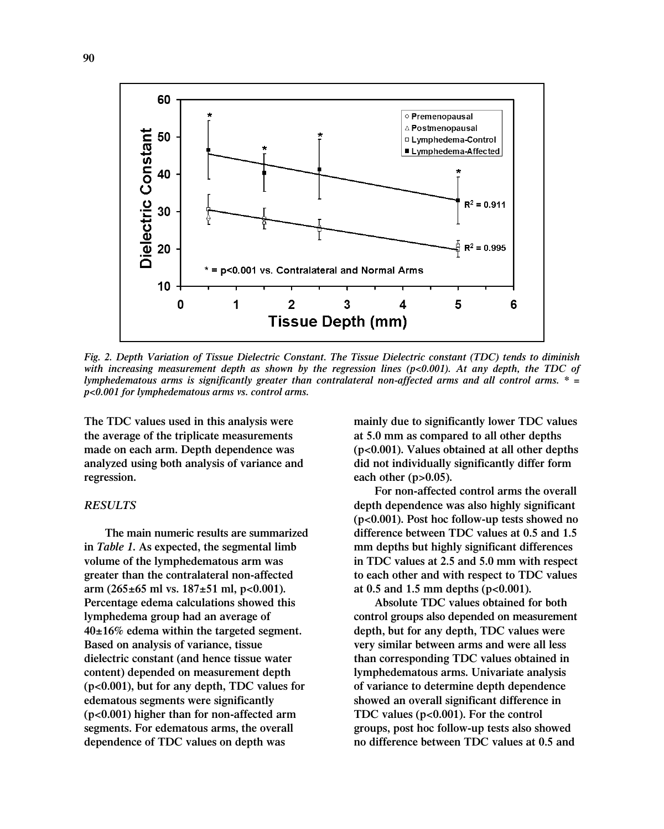

*Fig. 2. Depth Variation of Tissue Dielectric Constant. The Tissue Dielectric constant (TDC) tends to diminish with increasing measurement depth as shown by the regression lines (p<0.001). At any depth, the TDC of lymphedematous arms is significantly greater than contralateral non-affected arms and all control arms. \* = p<0.001 for lymphedematous arms vs. control arms.* 

**The TDC values used in this analysis were the average of the triplicate measurements made on each arm. Depth dependence was analyzed using both analysis of variance and regression.** 

## *RESULTS*

**The main numeric results are summarized in** *Table 1***. As expected, the segmental limb volume of the lymphedematous arm was greater than the contralateral non-affected arm (265±65 ml vs. 187±51 ml, p<0.001). Percentage edema calculations showed this lymphedema group had an average of 40±16% edema within the targeted segment. Based on analysis of variance, tissue dielectric constant (and hence tissue water content) depended on measurement depth (p<0.001), but for any depth, TDC values for edematous segments were significantly (p<0.001) higher than for non-affected arm segments. For edematous arms, the overall dependence of TDC values on depth was**

**mainly due to significantly lower TDC values at 5.0 mm as compared to all other depths (p<0.001). Values obtained at all other depths did not individually significantly differ form each other (p>0.05).** 

**For non-affected control arms the overall depth dependence was also highly significant (p<0.001). Post hoc follow-up tests showed no difference between TDC values at 0.5 and 1.5 mm depths but highly significant differences in TDC values at 2.5 and 5.0 mm with respect to each other and with respect to TDC values at 0.5 and 1.5 mm depths (p<0.001).**

**Absolute TDC values obtained for both control groups also depended on measurement depth, but for any depth, TDC values were very similar between arms and were all less than corresponding TDC values obtained in lymphedematous arms. Univariate analysis of variance to determine depth dependence showed an overall significant difference in TDC values (p<0.001). For the control groups, post hoc follow-up tests also showed no difference between TDC values at 0.5 and**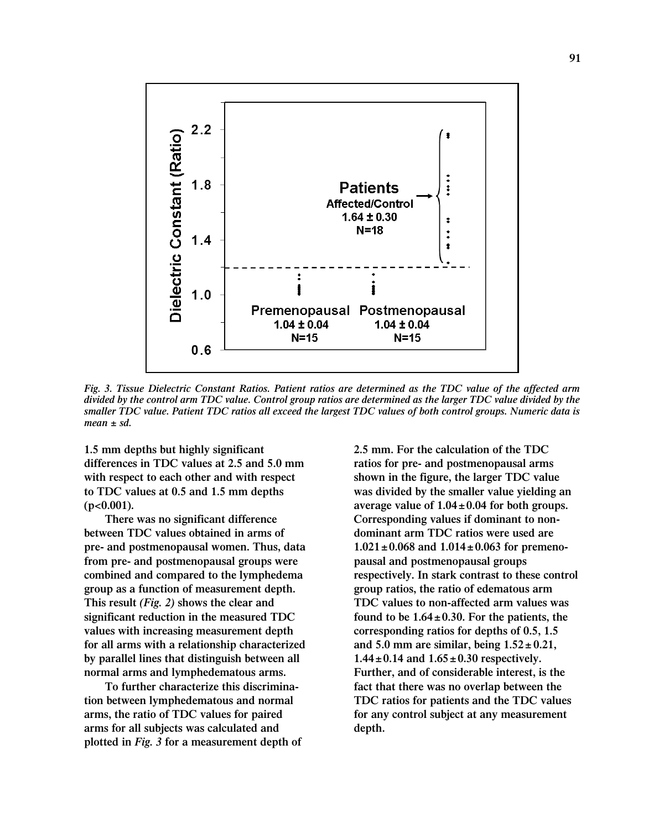

*Fig. 3. Tissue Dielectric Constant Ratios. Patient ratios are determined as the TDC value of the affected arm divided by the control arm TDC value. Control group ratios are determined as the larger TDC value divided by the smaller TDC value. Patient TDC ratios all exceed the largest TDC values of both control groups. Numeric data is mean ± sd.*

**1.5 mm depths but highly significant differences in TDC values at 2.5 and 5.0 mm with respect to each other and with respect to TDC values at 0.5 and 1.5 mm depths (p<0.001).** 

**There was no significant difference between TDC values obtained in arms of pre- and postmenopausal women. Thus, data from pre- and postmenopausal groups were combined and compared to the lymphedema group as a function of measurement depth. This result** *(Fig. 2)* **shows the clear and significant reduction in the measured TDC values with increasing measurement depth for all arms with a relationship characterized by parallel lines that distinguish between all normal arms and lymphedematous arms.** 

**To further characterize this discrimination between lymphedematous and normal arms, the ratio of TDC values for paired arms for all subjects was calculated and plotted in** *Fig. 3* **for a measurement depth of** **2.5 mm. For the calculation of the TDC ratios for pre- and postmenopausal arms shown in the figure, the larger TDC value was divided by the smaller value yielding an average value of 1.04±0.04 for both groups. Corresponding values if dominant to nondominant arm TDC ratios were used are 1.021±0.068 and 1.014±0.063 for premenopausal and postmenopausal groups respectively. In stark contrast to these control group ratios, the ratio of edematous arm TDC values to non-affected arm values was found to be 1.64±0.30. For the patients, the corresponding ratios for depths of 0.5, 1.5 and 5.0 mm are similar, being 1.52± 0.21, 1.44±0.14 and 1.65±0.30 respectively. Further, and of considerable interest, is the fact that there was no overlap between the TDC ratios for patients and the TDC values for any control subject at any measurement depth.**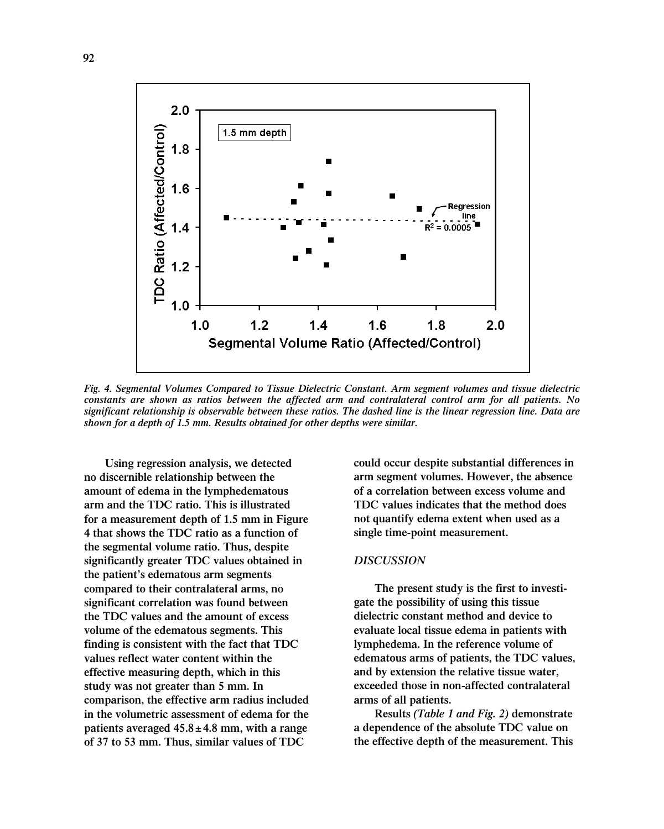

*Fig. 4. Segmental Volumes Compared to Tissue Dielectric Constant. Arm segment volumes and tissue dielectric constants are shown as ratios between the affected arm and contralateral control arm for all patients. No significant relationship is observable between these ratios. The dashed line is the linear regression line. Data are shown for a depth of 1.5 mm. Results obtained for other depths were similar.*

**Using regression analysis, we detected no discernible relationship between the amount of edema in the lymphedematous arm and the TDC ratio. This is illustrated for a measurement depth of 1.5 mm in Figure 4 that shows the TDC ratio as a function of the segmental volume ratio. Thus, despite significantly greater TDC values obtained in the patient's edematous arm segments compared to their contralateral arms, no significant correlation was found between the TDC values and the amount of excess volume of the edematous segments. This finding is consistent with the fact that TDC values reflect water content within the effective measuring depth, which in this study was not greater than 5 mm. In comparison, the effective arm radius included in the volumetric assessment of edema for the patients averaged 45.8±4.8 mm, with a range of 37 to 53 mm. Thus, similar values of TDC**

**could occur despite substantial differences in arm segment volumes. However, the absence of a correlation between excess volume and TDC values indicates that the method does not quantify edema extent when used as a single time-point measurement.**

#### *DISCUSSION*

**The present study is the first to investigate the possibility of using this tissue dielectric constant method and device to evaluate local tissue edema in patients with lymphedema. In the reference volume of edematous arms of patients, the TDC values, and by extension the relative tissue water, exceeded those in non-affected contralateral arms of all patients.**

**Results** *(Table 1 and Fig. 2)* **demonstrate a dependence of the absolute TDC value on the effective depth of the measurement. This**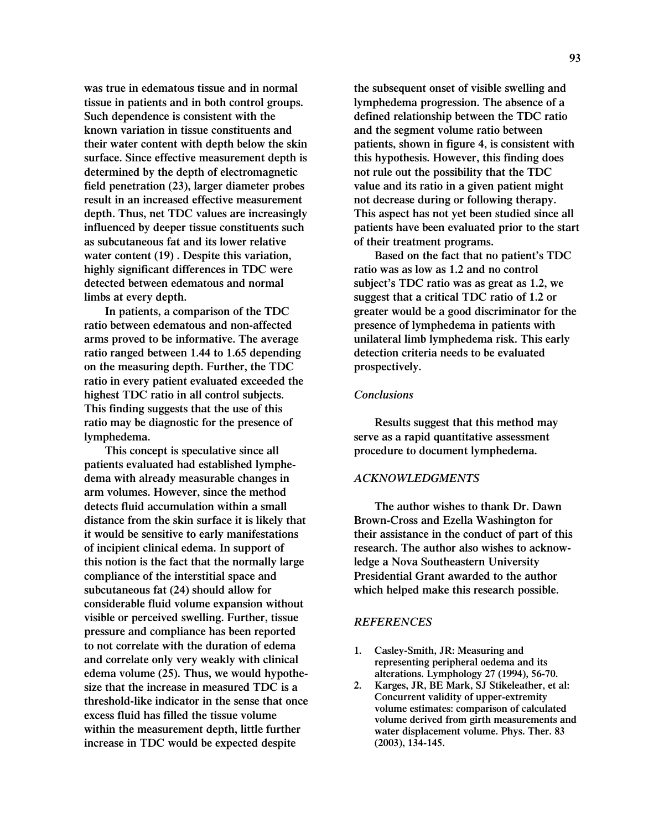**was true in edematous tissue and in normal tissue in patients and in both control groups. Such dependence is consistent with the known variation in tissue constituents and their water content with depth below the skin surface. Since effective measurement depth is determined by the depth of electromagnetic field penetration (23), larger diameter probes result in an increased effective measurement depth. Thus, net TDC values are increasingly influenced by deeper tissue constituents such as subcutaneous fat and its lower relative water content (19) . Despite this variation, highly significant differences in TDC were detected between edematous and normal limbs at every depth.** 

**In patients, a comparison of the TDC ratio between edematous and non-affected arms proved to be informative. The average ratio ranged between 1.44 to 1.65 depending on the measuring depth. Further, the TDC ratio in every patient evaluated exceeded the highest TDC ratio in all control subjects. This finding suggests that the use of this ratio may be diagnostic for the presence of lymphedema.** 

**This concept is speculative since all patients evaluated had established lymphedema with already measurable changes in arm volumes. However, since the method detects fluid accumulation within a small distance from the skin surface it is likely that it would be sensitive to early manifestations of incipient clinical edema. In support of this notion is the fact that the normally large compliance of the interstitial space and subcutaneous fat (24) should allow for considerable fluid volume expansion without visible or perceived swelling. Further, tissue pressure and compliance has been reported to not correlate with the duration of edema and correlate only very weakly with clinical edema volume (25). Thus, we would hypothesize that the increase in measured TDC is a threshold-like indicator in the sense that once excess fluid has filled the tissue volume within the measurement depth, little further increase in TDC would be expected despite**

**the subsequent onset of visible swelling and lymphedema progression. The absence of a defined relationship between the TDC ratio and the segment volume ratio between patients, shown in figure 4, is consistent with this hypothesis. However, this finding does not rule out the possibility that the TDC value and its ratio in a given patient might not decrease during or following therapy. This aspect has not yet been studied since all patients have been evaluated prior to the start of their treatment programs.**

**Based on the fact that no patient's TDC ratio was as low as 1.2 and no control subject's TDC ratio was as great as 1.2, we suggest that a critical TDC ratio of 1.2 or greater would be a good discriminator for the presence of lymphedema in patients with unilateral limb lymphedema risk. This early detection criteria needs to be evaluated prospectively.**

#### *Conclusions*

**Results suggest that this method may serve as a rapid quantitative assessment procedure to document lymphedema.** 

## *ACKNOWLEDGMENTS*

**The author wishes to thank Dr. Dawn Brown-Cross and Ezella Washington for their assistance in the conduct of part of this research. The author also wishes to acknowledge a Nova Southeastern University Presidential Grant awarded to the author which helped make this research possible.**

#### *REFERENCES*

- **1. Casley-Smith, JR: Measuring and representing peripheral oedema and its alterations. Lymphology 27 (1994), 56-70.**
- **2. Karges, JR, BE Mark, SJ Stikeleather, et al: Concurrent validity of upper-extremity volume estimates: comparison of calculated volume derived from girth measurements and water displacement volume. Phys. Ther. 83 (2003), 134-145.**